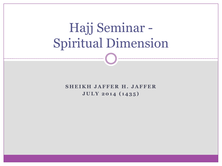# Hajj Seminar - Spiritual Dimension

**SHEIKH JAFFER H. JAFFER J U L Y 2 0 1 4 ( 1 4 3 5 )**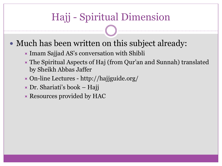### • Much has been written on this subject already:

- $\blacktriangleright$  Imam Sajjad AS's conversation with Shibli
- The Spiritual Aspects of Haj (from Qur'an and Sunnah) translated by Sheikh Abbas Jaffer
- On-line Lectures http://hajjguide.org/
- $\triangleright$  Dr. Shariati's book Hajj
- $\times$  Resources provided by HAC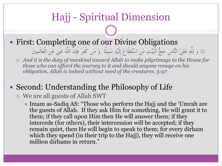- First: Completing one of our Divine Obligations
	- وَ لِلَّهِ عَلىَ النَّاسِ حِجُّ الْبَيْتِ مَنِ اسْتَطَاعَ إِلَيْهِ سَبِيلًا وَ مَن كَفَرَ فَإِنَّ اللَّهَ غَىنِ عَنِ الْعَالَمِنيَ *And it is the duty of mankind toward Allah to make pilgrimage to the House for*
	- *those who can afford the journey to it and should anyone renege on his obligation, Allah is indeed without need of the creatures. 3:97*

### • Second: Understanding the Philosophy of Life

#### We are all guests of Allah SWT

 $\blacktriangleright$  Imam as-Sadiq AS: "Those who perform the Hajj and the 'Umrah are the guests of Allah. If they ask Him for something, He will grant it to them; if they call upon Him then He will answer them; if they intercede (for others), their intercession will be accepted; if they remain quiet, then He will begin to speak to them; for every dirham which they spend (in their trip to the Hajj), they will receive one million dirhams in return."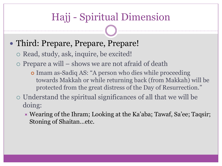### • Third: Prepare, Prepare, Prepare!

o Read, study, ask, inquire, be excited!

 $\circ$  Prepare a will – shows we are not afraid of death

- Imam as-Sadiq AS: "A person who dies while proceeding towards Makkah or while returning back (from Makkah) will be protected from the great distress of the Day of Resurrection."
- Understand the spiritual significances of all that we will be doing:
	- Wearing of the Ihram; Looking at the Ka'aba; Tawaf, Sa'ee; Taqsir; Stoning of Shaitan…etc.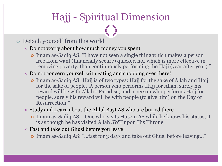#### Detach yourself from this world

#### $\star$  Do not worry about how much money you spent

 Imam as-Sadiq AS: "I have not seen a single thing which makes a person free from want (financially secure) quicker, nor which is more effective in removing poverty, than continuously performing the Hajj (year after year)."

#### $\triangleright$  Do not concern yourself with eating and shopping over there!

 Imam as-Sadiq AS "Hajj is of two types: Hajj for the sake of Allah and Hajj for the sake of people. A person who performs Hajj for Allah, surely his reward will be with Allah - Paradise; and a person who performs Hajj for people, surely his reward will be with people (to give him) on the Day of Resurrection."

#### $\overline{\phantom{a}}$  Study and Learn about the Ahlul Bayt AS who are buried there

- Imam as-Sadiq AS One who visits Husein AS while he knows his status, it is as though he has visited Allah SWT upon His Throne.
- $\star$  Fast and take out Ghusl before you leave!
	- Imam as-Sadiq AS: "…fast for 3 days and take out Ghusl before leaving…"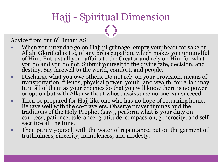Advice from our 6<sup>th</sup> Imam AS:

- When you intend to go on Hajj pilgrimage, empty your heart for sake of Allah, Glorified is He, of any preoccupation, which makes you unmindful of Him. Entrust all your affairs to the Creator and rely on Him for what you do and you do not. Submit yourself to the divine fate, decision, and destiny. Say farewell to the world, comfort, and people.
- Discharge what you owe others. Do not rely on your provision, means of transportation, friends, physical power, youth, and wealth, for Allah may turn all of them as your enemies so that you will know there is no power or option but with Allah without whose assistance no one can succeed.
- Then be prepared for Hajj like one who has no hope of returning home. Behave well with the co-travelers. Observe prayer timings and the traditions of the Holy Prophet (saw), perform what is your duty on courtesy, patience, tolerance, gratitude, compassion, generosity, and selfsacrifice all the time.
- Then purify yourself with the water of repentance, put on the garment of truthfulness, sincerity, humbleness, and modesty.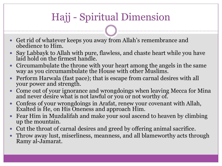- Get rid of whatever keeps you away from Allah's remembrance and obedience to Him.
- Say Labbayk to Allah with pure, flawless, and chaste heart while you have laid hold on the firmest handle.
- Circumambulate the throne with your heart among the angels in the same way as you circumambulate the House with other Muslims.
- Perform Harwala (fast pace); that is escape from carnal desires with all your power and strength.
- Come out of your ignorance and wrongdoings when leaving Mecca for Mina and never desire what is not lawful or you or not worthy of.
- Confess of your wrongdoings in Arafat, renew your covenant with Allah, Exalted is He, on His Oneness and approach Him.
- Fear Him in Muzdalifah and make your soul ascend to heaven by climbing up the mountain.
- Cut the throat of carnal desires and greed by offering animal sacrifice.
- Throw away lust, miserliness, meanness, and all blameworthy acts through Ramy al-Jamarat.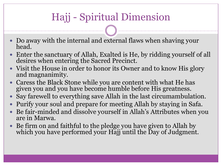- Do away with the internal and external flaws when shaving your head.
- Enter the sanctuary of Allah, Exalted is He, by ridding yourself of all desires when entering the Sacred Precinct.
- Visit the House in order to honor its Owner and to know His glory and magnanimity.
- Caress the Black Stone while you are content with what He has given you and you have become humble before His greatness.
- Say farewell to everything save Allah in the last circumambulation.
- Purify your soul and prepare for meeting Allah by staying in Safa.
- Be fair-minded and dissolve yourself in Allah's Attributes when you are in Marwa.
- Be firm on and faithful to the pledge you have given to Allah by which you have performed your Hajj until the Day of Judgment.